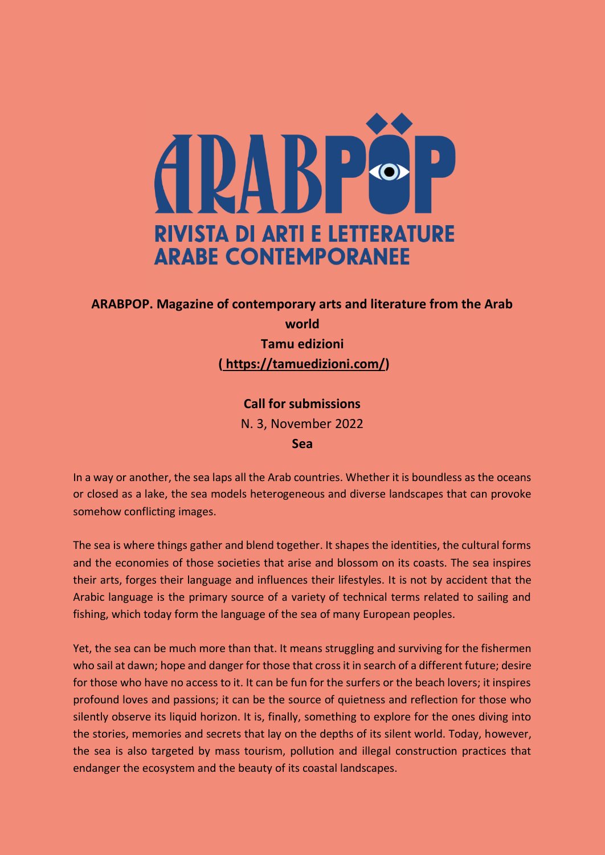

# **ARABPOP. Magazine of contemporary arts and literature from the Arab world Tamu edizioni**

**( [https://tamuedizioni.com/\)](https://tamuedizioni.com/)**

# **Call for submissions**

N. 3, November 2022

### **Sea**

In a way or another, the sea laps all the Arab countries. Whether it is boundless as the oceans or closed as a lake, the sea models heterogeneous and diverse landscapes that can provoke somehow conflicting images.

The sea is where things gather and blend together. It shapes the identities, the cultural forms and the economies of those societies that arise and blossom on its coasts. The sea inspires their arts, forges their language and influences their lifestyles. It is not by accident that the Arabic language is the primary source of a variety of technical terms related to sailing and fishing, which today form the language of the sea of many European peoples.

Yet, the sea can be much more than that. It means struggling and surviving for the fishermen who sail at dawn; hope and danger for those that cross it in search of a different future; desire for those who have no access to it. It can be fun for the surfers or the beach lovers; it inspires profound loves and passions; it can be the source of quietness and reflection for those who silently observe its liquid horizon. It is, finally, something to explore for the ones diving into the stories, memories and secrets that lay on the depths of its silent world. Today, however, the sea is also targeted by mass tourism, pollution and illegal construction practices that endanger the ecosystem and the beauty of its coastal landscapes.